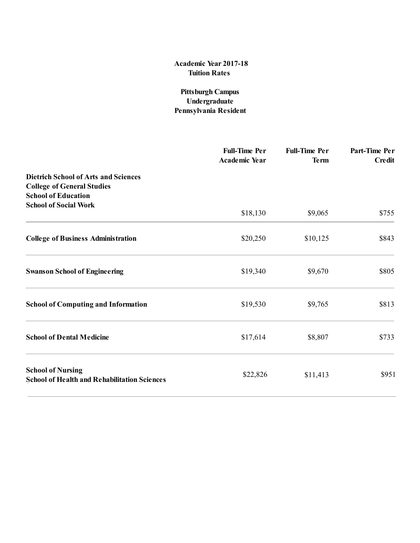## Academic Year 201**7**1**8** Tuition Rates

## Pittsburgh Campus Undergraduate Pennsylvania Resident

|                                                                                                                | <b>Full-Time Per</b><br><b>Academic Year</b> | <b>Full-Time Per</b><br><b>Term</b> | Part-Time Per<br><b>Credit</b> |
|----------------------------------------------------------------------------------------------------------------|----------------------------------------------|-------------------------------------|--------------------------------|
| <b>Dietrich School of Arts and Sciences</b><br><b>College of General Studies</b><br><b>School of Education</b> |                                              |                                     |                                |
| <b>School of Social Work</b>                                                                                   | \$18,130                                     | \$9,065                             | \$755                          |
| <b>College of Business Administration</b>                                                                      | \$20,250                                     | \$10,125                            | \$843                          |
| <b>Swanson School of Engineering</b>                                                                           | \$19,340                                     | \$9,670                             | \$805                          |
| <b>School of Computing and Information</b>                                                                     | \$19,530                                     | \$9,765                             | \$813                          |
| <b>School of Dental Medicine</b>                                                                               | \$17,614                                     | \$8,807                             | \$733                          |
| <b>School of Nursing</b><br><b>School of Health and Rehabilitation Sciences</b>                                | \$22,826                                     | \$11,413                            | \$951                          |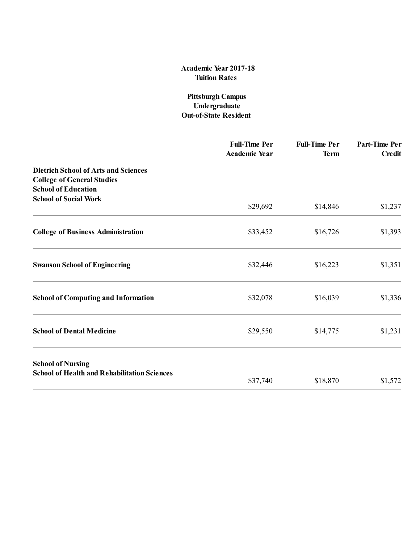### Academic Year 201**7**1**8** Tuition Rates

### Pittsburgh Campus Undergraduate Out-of-State Resident

|                                                                                                                | <b>Full-Time Per</b><br><b>Academic Year</b> | <b>Full-Time Per</b><br><b>Term</b> | Part-Time Per<br><b>Credit</b> |
|----------------------------------------------------------------------------------------------------------------|----------------------------------------------|-------------------------------------|--------------------------------|
| <b>Dietrich School of Arts and Sciences</b><br><b>College of General Studies</b><br><b>School of Education</b> |                                              |                                     |                                |
| <b>School of Social Work</b>                                                                                   | \$29,692                                     | \$14,846                            | \$1,237                        |
| <b>College of Business Administration</b>                                                                      | \$33,452                                     | \$16,726                            | \$1,393                        |
| <b>Swanson School of Engineering</b>                                                                           | \$32,446                                     | \$16,223                            | \$1,351                        |
| <b>School of Computing and Information</b>                                                                     | \$32,078                                     | \$16,039                            | \$1,336                        |
| <b>School of Dental Medicine</b>                                                                               | \$29,550                                     | \$14,775                            | \$1,231                        |
| <b>School of Nursing</b><br><b>School of Health and Rehabilitation Sciences</b>                                |                                              |                                     |                                |
|                                                                                                                | \$37,740                                     | \$18,870                            | \$1,572                        |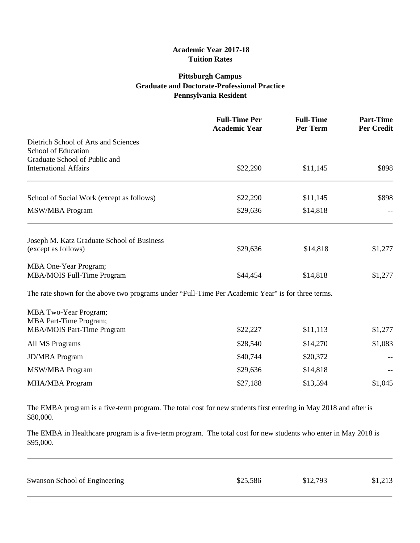#### **Academic Year 2017-18 Tuition Rates**

## **Pittsburgh Campus Graduate and Doctorate-Professional Practice Pennsylvania Resident**

|                                                                                                   | <b>Full-Time Per</b><br><b>Academic Year</b> | <b>Full-Time</b><br>Per Term | <b>Part-Time</b><br><b>Per Credit</b> |
|---------------------------------------------------------------------------------------------------|----------------------------------------------|------------------------------|---------------------------------------|
| Dietrich School of Arts and Sciences<br>School of Education<br>Graduate School of Public and      |                                              |                              |                                       |
| <b>International Affairs</b>                                                                      | \$22,290                                     | \$11,145                     | \$898                                 |
| School of Social Work (except as follows)                                                         | \$22,290                                     | \$11,145                     | \$898                                 |
| MSW/MBA Program                                                                                   | \$29,636                                     | \$14,818                     |                                       |
| Joseph M. Katz Graduate School of Business<br>(except as follows)                                 | \$29,636                                     | \$14,818                     | \$1,277                               |
| MBA One-Year Program;<br>MBA/MOIS Full-Time Program                                               | \$44,454                                     | \$14,818                     | \$1,277                               |
| The rate shown for the above two programs under "Full-Time Per Academic Year" is for three terms. |                                              |                              |                                       |
| MBA Two-Year Program;<br><b>MBA Part-Time Program;</b><br><b>MBA/MOIS Part-Time Program</b>       | \$22,227                                     | \$11,113                     | \$1,277                               |
| All MS Programs                                                                                   | \$28,540                                     | \$14,270                     | \$1,083                               |
| <b>JD/MBA</b> Program                                                                             | \$40,744                                     | \$20,372                     |                                       |
| <b>MSW/MBA Program</b>                                                                            | \$29,636                                     | \$14,818                     |                                       |
| <b>MHA/MBA Program</b>                                                                            | \$27,188                                     | \$13,594                     | \$1,045                               |

The EMBA program is a five-term program. The total cost for new students first entering in May 2018 and after is \$80,000.

The EMBA in Healthcare program is a five-term program. The total cost for new students who enter in May 2018 is \$95,000.

| Swanson School of Engineering | \$25,586 | \$12,793 | \$1,213 |
|-------------------------------|----------|----------|---------|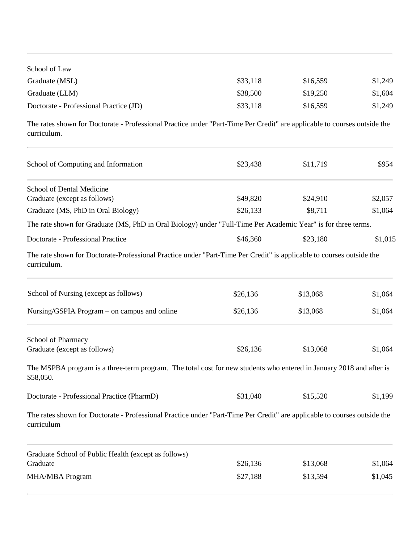| School of Law                          |          |          |         |
|----------------------------------------|----------|----------|---------|
| Graduate (MSL)                         | \$33,118 | \$16,559 | \$1,249 |
| Graduate (LLM)                         | \$38,500 | \$19,250 | \$1,604 |
| Doctorate - Professional Practice (JD) | \$33,118 | \$16,559 | \$1,249 |

The rates shown for Doctorate - Professional Practice under "Part-Time Per Credit" are applicable to courses outside the curriculum.

| School of Computing and Information                                                                                                    | \$23,438 | \$11,719 | \$954   |
|----------------------------------------------------------------------------------------------------------------------------------------|----------|----------|---------|
| School of Dental Medicine                                                                                                              |          |          |         |
| Graduate (except as follows)                                                                                                           | \$49,820 | \$24,910 | \$2,057 |
| Graduate (MS, PhD in Oral Biology)                                                                                                     | \$26,133 | \$8,711  | \$1,064 |
| The rate shown for Graduate (MS, PhD in Oral Biology) under "Full-Time Per Academic Year" is for three terms.                          |          |          |         |
| Doctorate - Professional Practice                                                                                                      | \$46,360 | \$23,180 | \$1,015 |
| The rate shown for Doctorate-Professional Practice under "Part-Time Per Credit" is applicable to courses outside the<br>curriculum.    |          |          |         |
| School of Nursing (except as follows)                                                                                                  | \$26,136 | \$13,068 | \$1,064 |
| Nursing/GSPIA Program – on campus and online                                                                                           | \$26,136 | \$13,068 | \$1,064 |
| School of Pharmacy                                                                                                                     |          |          |         |
| Graduate (except as follows)                                                                                                           | \$26,136 | \$13,068 | \$1,064 |
| The MSPBA program is a three-term program. The total cost for new students who entered in January 2018 and after is<br>\$58,050.       |          |          |         |
| Doctorate - Professional Practice (PharmD)                                                                                             | \$31,040 | \$15,520 | \$1,199 |
| The rates shown for Doctorate - Professional Practice under "Part-Time Per Credit" are applicable to courses outside the<br>curriculum |          |          |         |
| Graduate School of Public Health (except as follows)                                                                                   |          |          |         |
| Graduate                                                                                                                               | \$26,136 | \$13,068 | \$1,064 |
| <b>MHA/MBA Program</b>                                                                                                                 | \$27,188 | \$13,594 | \$1,045 |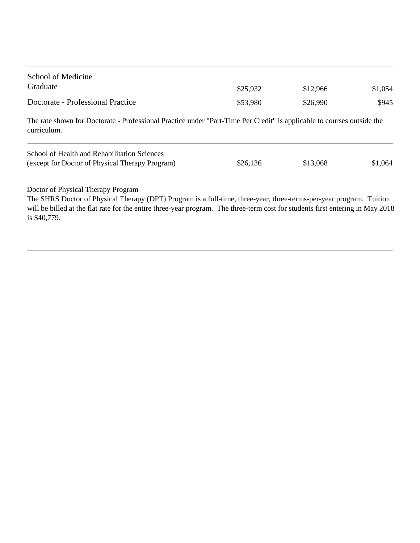| School of Medicine                |          |          |         |
|-----------------------------------|----------|----------|---------|
| Graduate                          | \$25,932 | \$12,966 | \$1,054 |
| Doctorate - Professional Practice | \$53,980 | \$26,990 | \$945   |

The rate shown for Doctorate - Professional Practice under "Part-Time Per Credit" is applicable to courses outside the curriculum.

| School of Health and Rehabilitation Sciences    |          |          |         |
|-------------------------------------------------|----------|----------|---------|
| (except for Doctor of Physical Therapy Program) | \$26,136 | \$13,068 | \$1,064 |

Doctor of Physical Therapy Program

The SHRS Doctor of Physical Therapy (DPT) Program is a full-time, three-year, three-terms-per-year program. Tuition will be billed at the flat rate for the entire three-year program. The three-term cost for students first entering in May 2018 is \$40,779.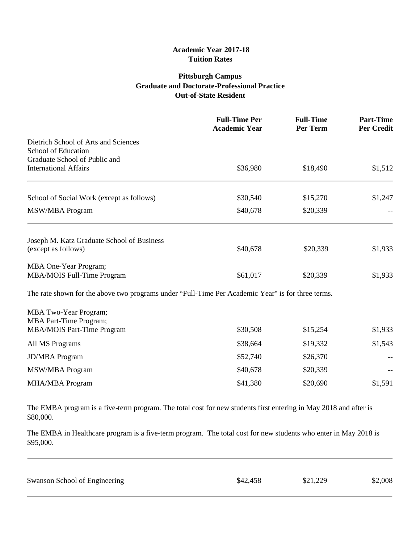#### **Academic Year 2017-18 Tuition Rates**

## **Pittsburgh Campus Graduate and Doctorate-Professional Practice Out-of-State Resident**

|                                                                                                   | <b>Full-Time Per</b><br><b>Academic Year</b> | <b>Full-Time</b><br>Per Term | <b>Part-Time</b><br><b>Per Credit</b> |
|---------------------------------------------------------------------------------------------------|----------------------------------------------|------------------------------|---------------------------------------|
| Dietrich School of Arts and Sciences<br>School of Education<br>Graduate School of Public and      |                                              |                              |                                       |
| <b>International Affairs</b>                                                                      | \$36,980                                     | \$18,490                     | \$1,512                               |
| School of Social Work (except as follows)                                                         | \$30,540                                     | \$15,270                     | \$1,247                               |
| <b>MSW/MBA Program</b>                                                                            | \$40,678                                     | \$20,339                     |                                       |
| Joseph M. Katz Graduate School of Business<br>(except as follows)                                 | \$40,678                                     | \$20,339                     | \$1,933                               |
| MBA One-Year Program;<br>MBA/MOIS Full-Time Program                                               | \$61,017                                     | \$20,339                     | \$1,933                               |
| The rate shown for the above two programs under "Full-Time Per Academic Year" is for three terms. |                                              |                              |                                       |
| <b>MBA Two-Year Program;</b><br>MBA Part-Time Program;                                            |                                              |                              |                                       |
| <b>MBA/MOIS Part-Time Program</b>                                                                 | \$30,508                                     | \$15,254                     | \$1,933                               |
| All MS Programs                                                                                   | \$38,664                                     | \$19,332                     | \$1,543                               |
| <b>JD/MBA</b> Program                                                                             | \$52,740                                     | \$26,370                     |                                       |
| <b>MSW/MBA Program</b>                                                                            | \$40,678                                     | \$20,339                     |                                       |
| MHA/MBA Program                                                                                   | \$41,380                                     | \$20,690                     | \$1,591                               |

The EMBA program is a five-term program. The total cost for new students first entering in May 2018 and after is \$80,000.

The EMBA in Healthcare program is a five-term program. The total cost for new students who enter in May 2018 is \$95,000.

| Swanson School of Engineering | \$42,458 | \$21,229 | \$2,008 |
|-------------------------------|----------|----------|---------|
|                               |          |          |         |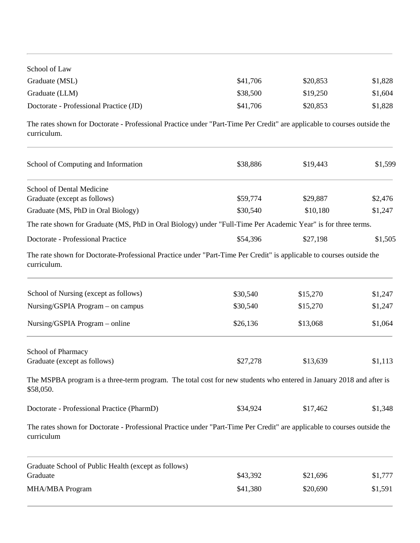| School of Law                          |          |          |         |
|----------------------------------------|----------|----------|---------|
| Graduate (MSL)                         | \$41,706 | \$20,853 | \$1,828 |
| Graduate (LLM)                         | \$38,500 | \$19.250 | \$1,604 |
| Doctorate - Professional Practice (JD) | \$41,706 | \$20,853 | \$1,828 |

The rates shown for Doctorate - Professional Practice under "Part-Time Per Credit" are applicable to courses outside the curriculum.

| School of Computing and Information                                                                                                    | \$38,886 | \$19,443 | \$1,599 |
|----------------------------------------------------------------------------------------------------------------------------------------|----------|----------|---------|
| School of Dental Medicine                                                                                                              |          |          |         |
| Graduate (except as follows)                                                                                                           | \$59,774 | \$29,887 | \$2,476 |
| Graduate (MS, PhD in Oral Biology)                                                                                                     | \$30,540 | \$10,180 | \$1,247 |
| The rate shown for Graduate (MS, PhD in Oral Biology) under "Full-Time Per Academic Year" is for three terms.                          |          |          |         |
| Doctorate - Professional Practice                                                                                                      | \$54,396 | \$27,198 | \$1,505 |
| The rate shown for Doctorate-Professional Practice under "Part-Time Per Credit" is applicable to courses outside the<br>curriculum.    |          |          |         |
| School of Nursing (except as follows)                                                                                                  | \$30,540 | \$15,270 | \$1,247 |
| Nursing/GSPIA Program - on campus                                                                                                      | \$30,540 | \$15,270 | \$1,247 |
| Nursing/GSPIA Program – online                                                                                                         | \$26,136 | \$13,068 | \$1,064 |
| School of Pharmacy                                                                                                                     |          |          |         |
| Graduate (except as follows)                                                                                                           | \$27,278 | \$13,639 | \$1,113 |
| The MSPBA program is a three-term program. The total cost for new students who entered in January 2018 and after is<br>\$58,050.       |          |          |         |
| Doctorate - Professional Practice (PharmD)                                                                                             | \$34,924 | \$17,462 | \$1,348 |
| The rates shown for Doctorate - Professional Practice under "Part-Time Per Credit" are applicable to courses outside the<br>curriculum |          |          |         |
| Graduate School of Public Health (except as follows)<br>Graduate                                                                       | \$43,392 |          |         |
|                                                                                                                                        |          | \$21,696 | \$1,777 |
| <b>MHA/MBA Program</b>                                                                                                                 | \$41,380 | \$20,690 | \$1,591 |